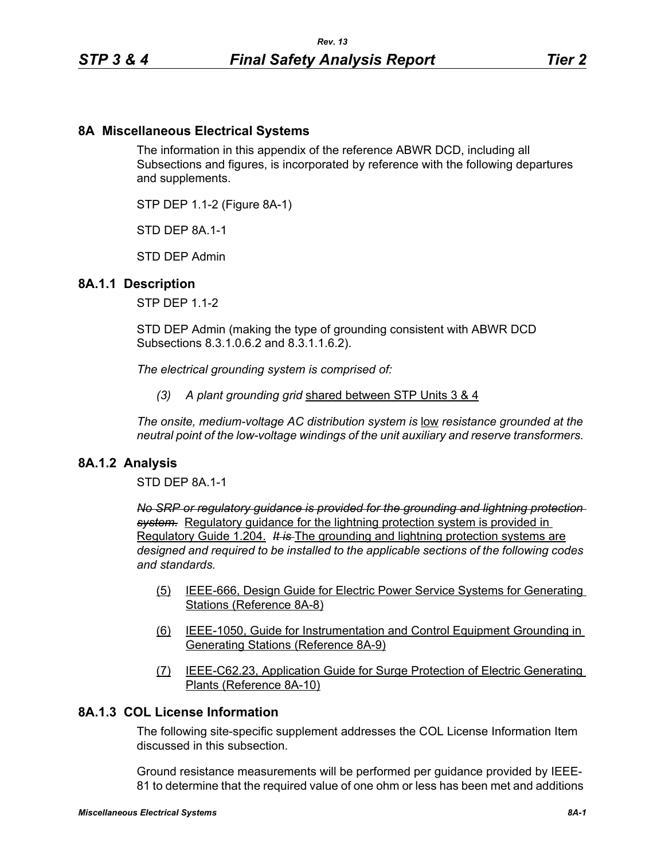# **8A Miscellaneous Electrical Systems**

The information in this appendix of the reference ABWR DCD, including all Subsections and figures, is incorporated by reference with the following departures and supplements.

STP DEP 1.1-2 (Figure 8A-1)

STD DFP 8A 1-1

STD DEP Admin

### **8A.1.1 Description**

STP DEP 1.1-2

STD DEP Admin (making the type of grounding consistent with ABWR DCD Subsections 8.3.1.0.6.2 and 8.3.1.1.6.2).

*The electrical grounding system is comprised of:*

*(3) A plant grounding grid* shared between STP Units 3 & 4

*The onsite, medium-voltage AC distribution system is* low *resistance grounded at the neutral point of the low-voltage windings of the unit auxiliary and reserve transformers.* 

### **8A.1.2 Analysis**

STD DEP 8A.1-1

*No SRP or regulatory guidance is provided for the grounding and lightning protection system.* Regulatory guidance for the lightning protection system is provided in Regulatory Guide 1.204. *It is* The grounding and lightning protection systems are *designed and required to be installed to the applicable sections of the following codes and standards.*

- (5) IEEE-666, Design Guide for Electric Power Service Systems for Generating Stations (Reference 8A-8)
- (6) IEEE-1050, Guide for Instrumentation and Control Equipment Grounding in Generating Stations (Reference 8A-9)
- (7) IEEE-C62.23, Application Guide for Surge Protection of Electric Generating Plants (Reference 8A-10)

## **8A.1.3 COL License Information**

The following site-specific supplement addresses the COL License Information Item discussed in this subsection.

Ground resistance measurements will be performed per guidance provided by IEEE-81 to determine that the required value of one ohm or less has been met and additions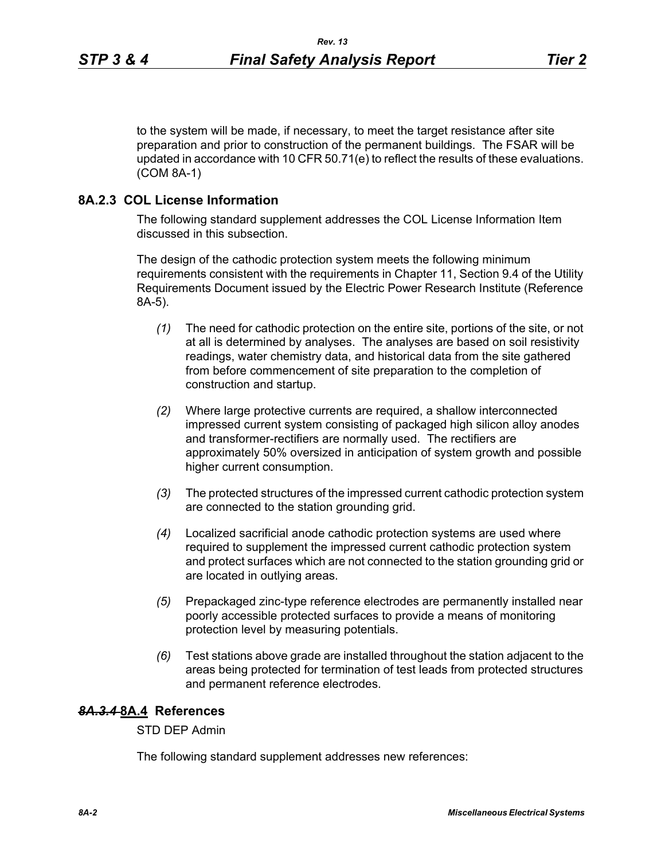to the system will be made, if necessary, to meet the target resistance after site preparation and prior to construction of the permanent buildings. The FSAR will be updated in accordance with 10 CFR 50.71(e) to reflect the results of these evaluations. (COM 8A-1)

### **8A.2.3 COL License Information**

The following standard supplement addresses the COL License Information Item discussed in this subsection.

The design of the cathodic protection system meets the following minimum requirements consistent with the requirements in Chapter 11, Section 9.4 of the Utility Requirements Document issued by the Electric Power Research Institute (Reference 8A-5).

- *(1)* The need for cathodic protection on the entire site, portions of the site, or not at all is determined by analyses. The analyses are based on soil resistivity readings, water chemistry data, and historical data from the site gathered from before commencement of site preparation to the completion of construction and startup.
- *(2)* Where large protective currents are required, a shallow interconnected impressed current system consisting of packaged high silicon alloy anodes and transformer-rectifiers are normally used. The rectifiers are approximately 50% oversized in anticipation of system growth and possible higher current consumption.
- *(3)* The protected structures of the impressed current cathodic protection system are connected to the station grounding grid.
- *(4)* Localized sacrificial anode cathodic protection systems are used where required to supplement the impressed current cathodic protection system and protect surfaces which are not connected to the station grounding grid or are located in outlying areas.
- *(5)* Prepackaged zinc-type reference electrodes are permanently installed near poorly accessible protected surfaces to provide a means of monitoring protection level by measuring potentials.
- *(6)* Test stations above grade are installed throughout the station adjacent to the areas being protected for termination of test leads from protected structures and permanent reference electrodes.

## *8A.3.4* **8A.4 References**

STD DEP Admin

The following standard supplement addresses new references: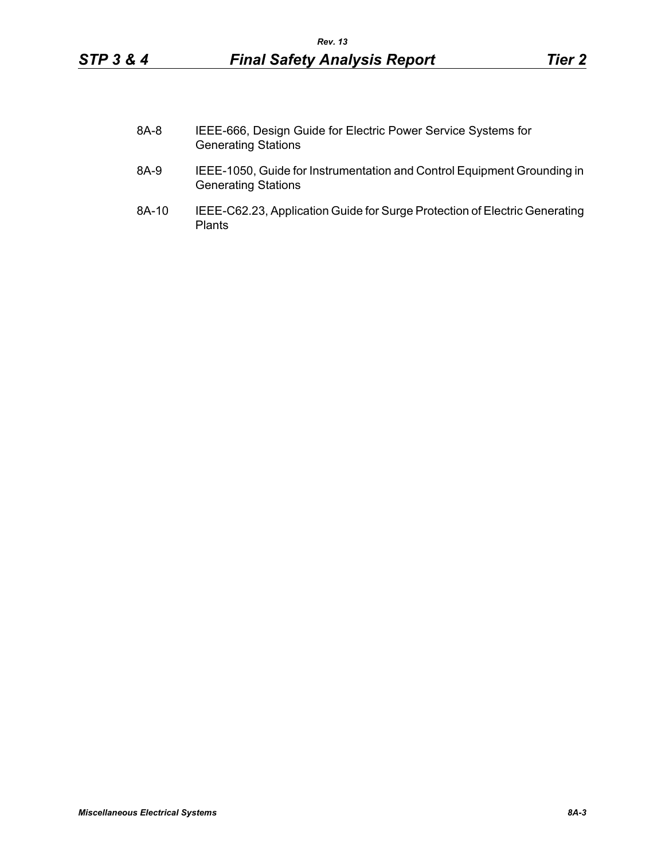- 8A-8 IEEE-666, Design Guide for Electric Power Service Systems for Generating Stations
- 8A-9 IEEE-1050, Guide for Instrumentation and Control Equipment Grounding in Generating Stations
- 8A-10 IEEE-C62.23, Application Guide for Surge Protection of Electric Generating Plants